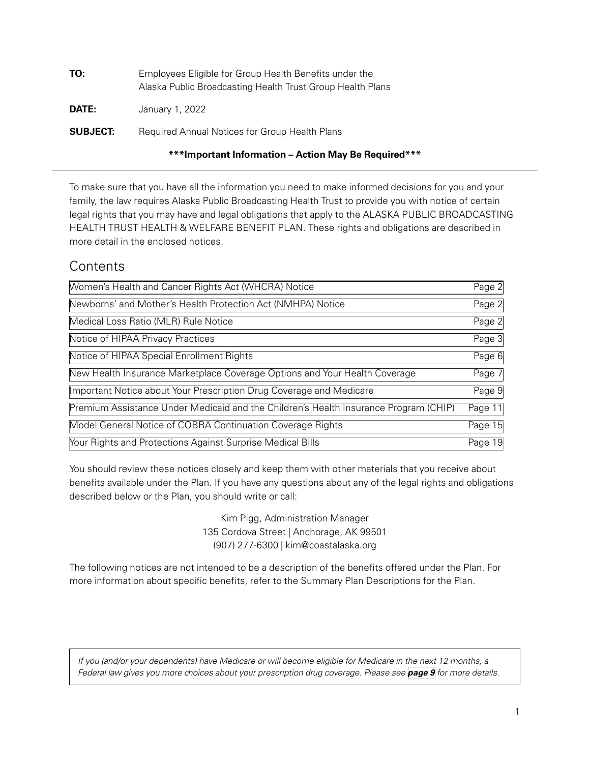| TO:             | Employees Eligible for Group Health Benefits under the<br>Alaska Public Broadcasting Health Trust Group Health Plans |
|-----------------|----------------------------------------------------------------------------------------------------------------------|
| <b>DATE:</b>    | January 1, 2022                                                                                                      |
| <b>SUBJECT:</b> | Required Annual Notices for Group Health Plans                                                                       |

**\*\*\*Important Information – Action May Be Required\*\*\***

To make sure that you have all the information you need to make informed decisions for you and your family, the law requires Alaska Public Broadcasting Health Trust to provide you with notice of certain legal rights that you may have and legal obligations that apply to the ALASKA PUBLIC BROADCASTING HEALTH TRUST HEALTH & WELFARE BENEFIT PLAN. These rights and obligations are described in more detail in the enclosed notices.

# **Contents**

| Women's Health and Cancer Rights Act (WHCRA) Notice                                  | Page 2  |  |
|--------------------------------------------------------------------------------------|---------|--|
| Newborns' and Mother's Health Protection Act (NMHPA) Notice                          | Page 2  |  |
| Medical Loss Ratio (MLR) Rule Notice                                                 | Page 2  |  |
| Notice of HIPAA Privacy Practices                                                    | Page 3  |  |
| Notice of HIPAA Special Enrollment Rights                                            | Page 6  |  |
| New Health Insurance Marketplace Coverage Options and Your Health Coverage           | Page 7  |  |
| Important Notice about Your Prescription Drug Coverage and Medicare                  | Page 9  |  |
| Premium Assistance Under Medicaid and the Children's Health Insurance Program (CHIP) | Page 11 |  |
| Model General Notice of COBRA Continuation Coverage Rights                           |         |  |
| Your Rights and Protections Against Surprise Medical Bills                           |         |  |
|                                                                                      |         |  |

You should review these notices closely and keep them with other materials that you receive about benefits available under the Plan. If you have any questions about any of the legal rights and obligations described below or the Plan, you should write or call:

> Kim Pigg, Administration Manager 135 Cordova Street | Anchorage, AK 99501 (907) 277-6300 | kim@coastalaska.org

The following notices are not intended to be a description of the benefits offered under the Plan. For more information about specific benefits, refer to the Summary Plan Descriptions for the Plan.

If you (and/or your dependents) have Medicare or will become eligible for Medicare in the next 12 months, a Federal law gives you more choices about your prescription drug coverage. Please see **[page](#page-8-0) 9** for more details.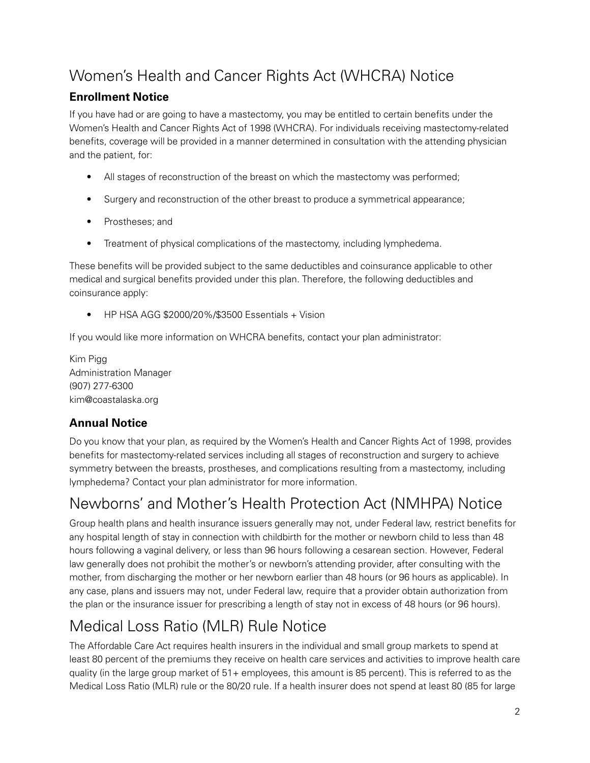# Women's Health and Cancer Rights Act (WHCRA) Notice

# <span id="page-1-0"></span>**Enrollment Notice**

If you have had or are going to have a mastectomy, you may be entitled to certain benefits under the Women's Health and Cancer Rights Act of 1998 (WHCRA). For individuals receiving mastectomy-related benefits, coverage will be provided in a manner determined in consultation with the attending physician and the patient, for:

- All stages of reconstruction of the breast on which the mastectomy was performed;
- Surgery and reconstruction of the other breast to produce a symmetrical appearance;
- Prostheses; and
- Treatment of physical complications of the mastectomy, including lymphedema.

These benefits will be provided subject to the same deductibles and coinsurance applicable to other medical and surgical benefits provided under this plan. Therefore, the following deductibles and coinsurance apply:

• HP HSA AGG \$2000/20%/\$3500 Essentials + Vision

If you would like more information on WHCRA benefits, contact your plan administrator:

Kim Pigg Administration Manager (907) 277-6300 kim@coastalaska.org

# **Annual Notice**

Do you know that your plan, as required by the Women's Health and Cancer Rights Act of 1998, provides benefits for mastectomy-related services including all stages of reconstruction and surgery to achieve symmetry between the breasts, prostheses, and complications resulting from a mastectomy, including lymphedema? Contact your plan administrator for more information.

# Newborns' and Mother's Health Protection Act (NMHPA) Notice

<span id="page-1-1"></span>Group health plans and health insurance issuers generally may not, under Federal law, restrict benefits for any hospital length of stay in connection with childbirth for the mother or newborn child to less than 48 hours following a vaginal delivery, or less than 96 hours following a cesarean section. However, Federal law generally does not prohibit the mother's or newborn's attending provider, after consulting with the mother, from discharging the mother or her newborn earlier than 48 hours (or 96 hours as applicable). In any case, plans and issuers may not, under Federal law, require that a provider obtain authorization from the plan or the insurance issuer for prescribing a length of stay not in excess of 48 hours (or 96 hours).

# Medical Loss Ratio (MLR) Rule Notice

<span id="page-1-2"></span>The Affordable Care Act requires health insurers in the individual and small group markets to spend at least 80 percent of the premiums they receive on health care services and activities to improve health care quality (in the large group market of 51+ employees, this amount is 85 percent). This is referred to as the Medical Loss Ratio (MLR) rule or the 80/20 rule. If a health insurer does not spend at least 80 (85 for large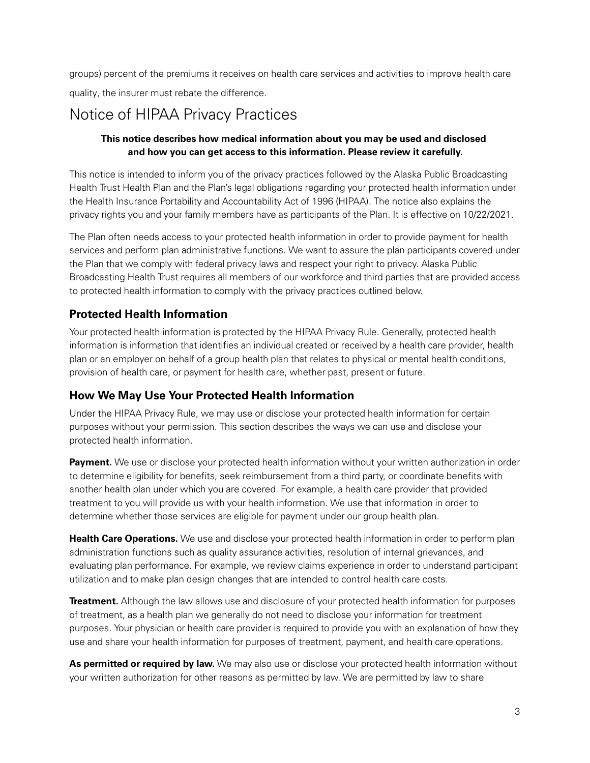<span id="page-2-0"></span>groups) percent of the premiums it receives on health care services and activities to improve health care quality, the insurer must rebate the difference.

# Notice of HIPAA Privacy Practices

### **This notice describes how medical information about you may be used and disclosed and how you can get access to this information. Please review it carefully.**

This notice is intended to inform you of the privacy practices followed by the Alaska Public Broadcasting Health Trust Health Plan and the Plan's legal obligations regarding your protected health information under the Health Insurance Portability and Accountability Act of 1996 (HIPAA). The notice also explains the privacy rights you and your family members have as participants of the Plan. It is effective on 10/22/2021.

The Plan often needs access to your protected health information in order to provide payment for health services and perform plan administrative functions. We want to assure the plan participants covered under the Plan that we comply with federal privacy laws and respect your right to privacy. Alaska Public Broadcasting Health Trust requires all members of our workforce and third parties that are provided access to protected health information to comply with the privacy practices outlined below.

# **Protected Health Information**

Your protected health information is protected by the HIPAA Privacy Rule. Generally, protected health information is information that identifies an individual created or received by a health care provider, health plan or an employer on behalf of a group health plan that relates to physical or mental health conditions, provision of health care, or payment for health care, whether past, present or future.

## **How We May Use Your Protected Health Information**

Under the HIPAA Privacy Rule, we may use or disclose your protected health information for certain purposes without your permission. This section describes the ways we can use and disclose your protected health information.

**Payment.** We use or disclose your protected health information without your written authorization in order to determine eligibility for benefits, seek reimbursement from a third party, or coordinate benefits with another health plan under which you are covered. For example, a health care provider that provided treatment to you will provide us with your health information. We use that information in order to determine whether those services are eligible for payment under our group health plan.

**Health Care Operations.** We use and disclose your protected health information in order to perform plan administration functions such as quality assurance activities, resolution of internal grievances, and evaluating plan performance. For example, we review claims experience in order to understand participant utilization and to make plan design changes that are intended to control health care costs.

**Treatment.** Although the law allows use and disclosure of your protected health information for purposes of treatment, as a health plan we generally do not need to disclose your information for treatment purposes. Your physician or health care provider is required to provide you with an explanation of how they use and share your health information for purposes of treatment, payment, and health care operations.

**As permitted or required by law.** We may also use or disclose your protected health information without your written authorization for other reasons as permitted by law. We are permitted by law to share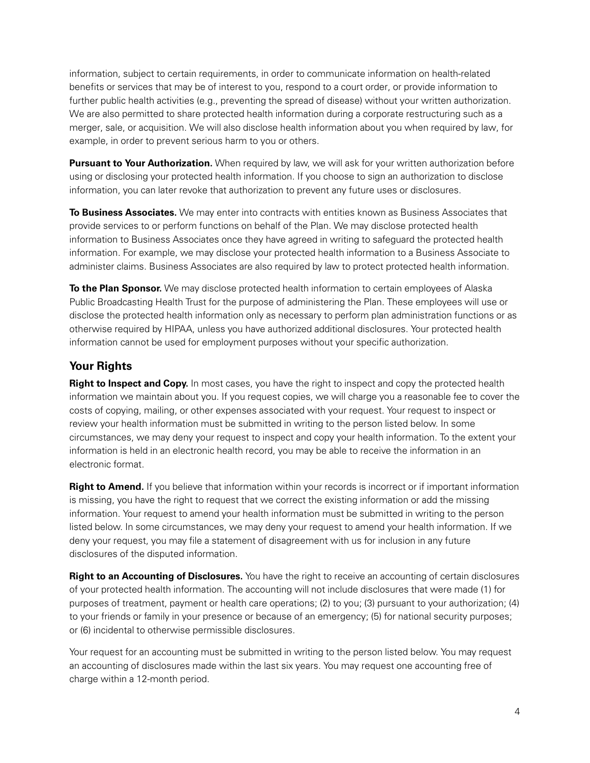information, subject to certain requirements, in order to communicate information on health-related benefits or services that may be of interest to you, respond to a court order, or provide information to further public health activities (e.g., preventing the spread of disease) without your written authorization. We are also permitted to share protected health information during a corporate restructuring such as a merger, sale, or acquisition. We will also disclose health information about you when required by law, for example, in order to prevent serious harm to you or others.

**Pursuant to Your Authorization.** When required by law, we will ask for your written authorization before using or disclosing your protected health information. If you choose to sign an authorization to disclose information, you can later revoke that authorization to prevent any future uses or disclosures.

**To Business Associates.** We may enter into contracts with entities known as Business Associates that provide services to or perform functions on behalf of the Plan. We may disclose protected health information to Business Associates once they have agreed in writing to safeguard the protected health information. For example, we may disclose your protected health information to a Business Associate to administer claims. Business Associates are also required by law to protect protected health information.

**To the Plan Sponsor.** We may disclose protected health information to certain employees of Alaska Public Broadcasting Health Trust for the purpose of administering the Plan. These employees will use or disclose the protected health information only as necessary to perform plan administration functions or as otherwise required by HIPAA, unless you have authorized additional disclosures. Your protected health information cannot be used for employment purposes without your specific authorization.

## **Your Rights**

**Right to Inspect and Copy.** In most cases, you have the right to inspect and copy the protected health information we maintain about you. If you request copies, we will charge you a reasonable fee to cover the costs of copying, mailing, or other expenses associated with your request. Your request to inspect or review your health information must be submitted in writing to the person listed below. In some circumstances, we may deny your request to inspect and copy your health information. To the extent your information is held in an electronic health record, you may be able to receive the information in an electronic format.

**Right to Amend.** If you believe that information within your records is incorrect or if important information is missing, you have the right to request that we correct the existing information or add the missing information. Your request to amend your health information must be submitted in writing to the person listed below. In some circumstances, we may deny your request to amend your health information. If we deny your request, you may file a statement of disagreement with us for inclusion in any future disclosures of the disputed information.

**Right to an Accounting of Disclosures.** You have the right to receive an accounting of certain disclosures of your protected health information. The accounting will not include disclosures that were made (1) for purposes of treatment, payment or health care operations; (2) to you; (3) pursuant to your authorization; (4) to your friends or family in your presence or because of an emergency; (5) for national security purposes; or (6) incidental to otherwise permissible disclosures.

Your request for an accounting must be submitted in writing to the person listed below. You may request an accounting of disclosures made within the last six years. You may request one accounting free of charge within a 12-month period.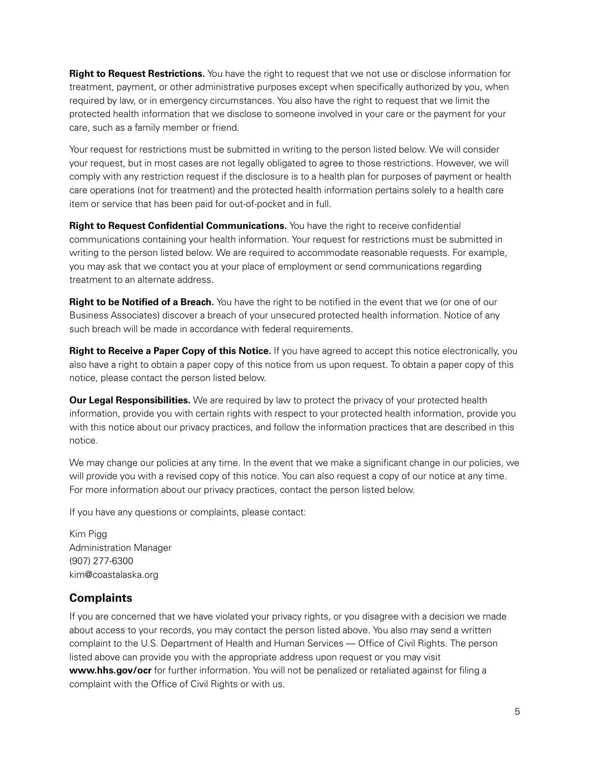**Right to Request Restrictions.** You have the right to request that we not use or disclose information for treatment, payment, or other administrative purposes except when specifically authorized by you, when required by law, or in emergency circumstances. You also have the right to request that we limit the protected health information that we disclose to someone involved in your care or the payment for your care, such as a family member or friend.

Your request for restrictions must be submitted in writing to the person listed below. We will consider your request, but in most cases are not legally obligated to agree to those restrictions. However, we will comply with any restriction request if the disclosure is to a health plan for purposes of payment or health care operations (not for treatment) and the protected health information pertains solely to a health care item or service that has been paid for out-of-pocket and in full.

**Right to Request Confidential Communications.** You have the right to receive confidential communications containing your health information. Your request for restrictions must be submitted in writing to the person listed below. We are required to accommodate reasonable requests. For example, you may ask that we contact you at your place of employment or send communications regarding treatment to an alternate address.

**Right to be Notified of a Breach.** You have the right to be notified in the event that we (or one of our Business Associates) discover a breach of your unsecured protected health information. Notice of any such breach will be made in accordance with federal requirements.

**Right to Receive a Paper Copy of this Notice.** If you have agreed to accept this notice electronically, you also have a right to obtain a paper copy of this notice from us upon request. To obtain a paper copy of this notice, please contact the person listed below.

**Our Legal Responsibilities.** We are required by law to protect the privacy of your protected health information, provide you with certain rights with respect to your protected health information, provide you with this notice about our privacy practices, and follow the information practices that are described in this notice.

We may change our policies at any time. In the event that we make a significant change in our policies, we will provide you with a revised copy of this notice. You can also request a copy of our notice at any time. For more information about our privacy practices, contact the person listed below.

If you have any questions or complaints, please contact:

Kim Pigg Administration Manager (907) 277-6300 kim@coastalaska.org

### **Complaints**

If you are concerned that we have violated your privacy rights, or you disagree with a decision we made about access to your records, you may contact the person listed above. You also may send a written complaint to the U.S. Department of Health and Human Services — Office of Civil Rights. The person listed above can provide you with the appropriate address upon request or you may visit **www.hhs.gov/ocr** for further information. You will not be penalized or retaliated against for filing a complaint with the Office of Civil Rights or with us.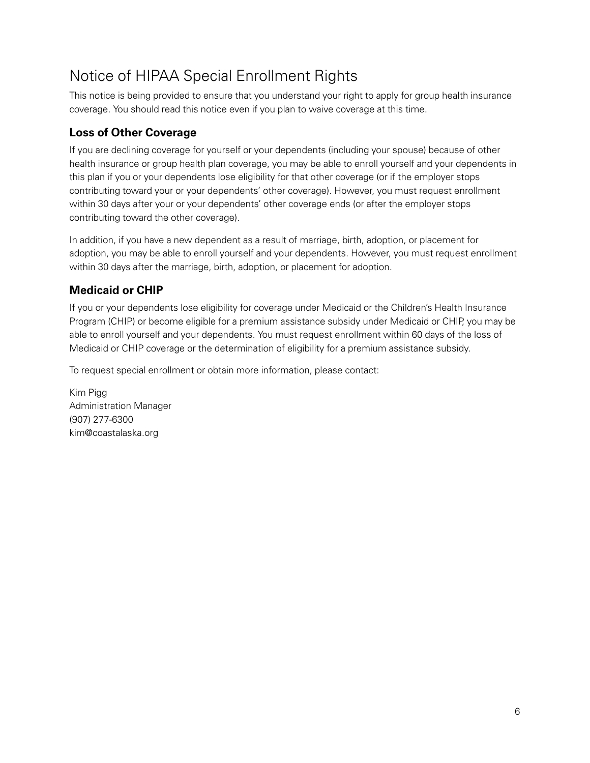# <span id="page-5-0"></span>Notice of HIPAA Special Enrollment Rights

This notice is being provided to ensure that you understand your right to apply for group health insurance coverage. You should read this notice even if you plan to waive coverage at this time.

# **Loss of Other Coverage**

If you are declining coverage for yourself or your dependents (including your spouse) because of other health insurance or group health plan coverage, you may be able to enroll yourself and your dependents in this plan if you or your dependents lose eligibility for that other coverage (or if the employer stops contributing toward your or your dependents' other coverage). However, you must request enrollment within 30 days after your or your dependents' other coverage ends (or after the employer stops contributing toward the other coverage).

In addition, if you have a new dependent as a result of marriage, birth, adoption, or placement for adoption, you may be able to enroll yourself and your dependents. However, you must request enrollment within 30 days after the marriage, birth, adoption, or placement for adoption.

# **Medicaid or CHIP**

If you or your dependents lose eligibility for coverage under Medicaid or the Children's Health Insurance Program (CHIP) or become eligible for a premium assistance subsidy under Medicaid or CHIP, you may be able to enroll yourself and your dependents. You must request enrollment within 60 days of the loss of Medicaid or CHIP coverage or the determination of eligibility for a premium assistance subsidy.

To request special enrollment or obtain more information, please contact:

Kim Pigg Administration Manager (907) 277-6300 kim@coastalaska.org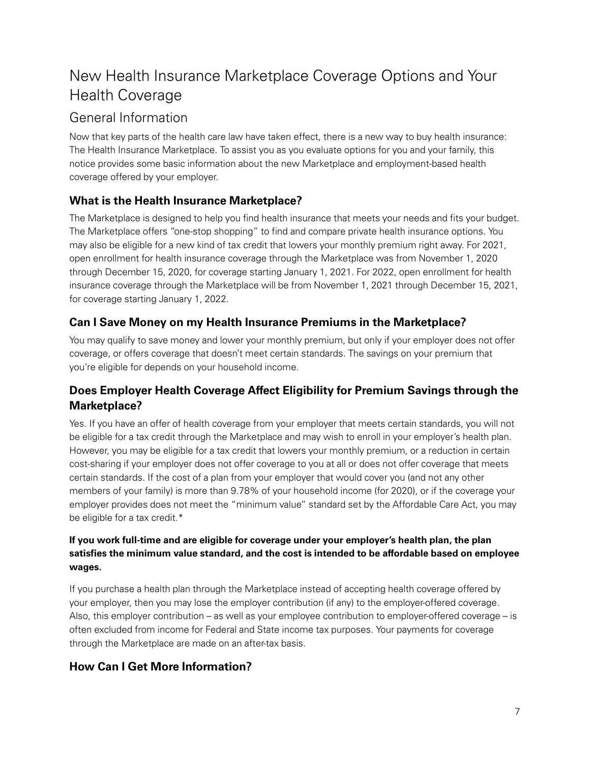# <span id="page-6-0"></span>New Health Insurance Marketplace Coverage Options and Your Health Coverage

# General Information

Now that key parts of the health care law have taken effect, there is a new way to buy health insurance: The Health Insurance Marketplace. To assist you as you evaluate options for you and your family, this notice provides some basic information about the new Marketplace and employment-based health coverage offered by your employer.

# **What is the Health Insurance Marketplace?**

The Marketplace is designed to help you find health insurance that meets your needs and fits your budget. The Marketplace offers "one-stop shopping" to find and compare private health insurance options. You may also be eligible for a new kind of tax credit that lowers your monthly premium right away. For 2021, open enrollment for health insurance coverage through the Marketplace was from November 1, 2020 through December 15, 2020, for coverage starting January 1, 2021. For 2022, open enrollment for health insurance coverage through the Marketplace will be from November 1, 2021 through December 15, 2021, for coverage starting January 1, 2022.

# **Can I Save Money on my Health Insurance Premiums in the Marketplace?**

You may qualify to save money and lower your monthly premium, but only if your employer does not offer coverage, or offers coverage that doesn't meet certain standards. The savings on your premium that you're eligible for depends on your household income.

# **Does Employer Health Coverage Affect Eligibility for Premium Savings through the Marketplace?**

Yes. If you have an offer of health coverage from your employer that meets certain standards, you will not be eligible for a tax credit through the Marketplace and may wish to enroll in your employer's health plan. However, you may be eligible for a tax credit that lowers your monthly premium, or a reduction in certain cost-sharing if your employer does not offer coverage to you at all or does not offer coverage that meets certain standards. If the cost of a plan from your employer that would cover you (and not any other members of your family) is more than 9.78% of your household income (for 2020), or if the coverage your employer provides does not meet the "minimum value" standard set by the Affordable Care Act, you may be eligible for a tax credit.\*

### **If you work full-time and are eligible for coverage under your employer's health plan, the plan satisfies the minimum value standard, and the cost is intended to be affordable based on employee wages.**

If you purchase a health plan through the Marketplace instead of accepting health coverage offered by your employer, then you may lose the employer contribution (if any) to the employer-offered coverage. Also, this employer contribution – as well as your employee contribution to employer-offered coverage – is often excluded from income for Federal and State income tax purposes. Your payments for coverage through the Marketplace are made on an after-tax basis.

## **How Can I Get More Information?**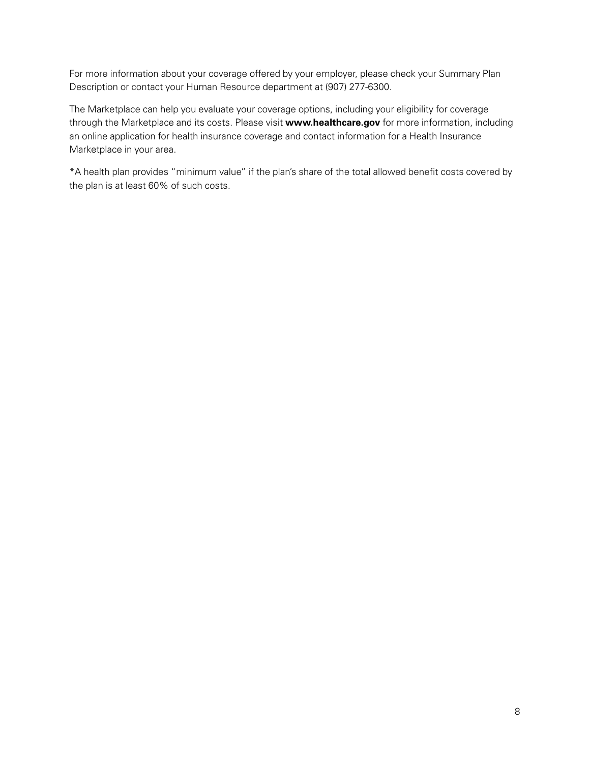For more information about your coverage offered by your employer, please check your Summary Plan Description or contact your Human Resource department at (907) 277-6300.

The Marketplace can help you evaluate your coverage options, including your eligibility for coverage through the Marketplace and its costs. Please visit **www.healthcare.gov** for more information, including an online application for health insurance coverage and contact information for a Health Insurance Marketplace in your area.

\*A health plan provides "minimum value" if the plan's share of the total allowed benefit costs covered by the plan is at least 60% of such costs.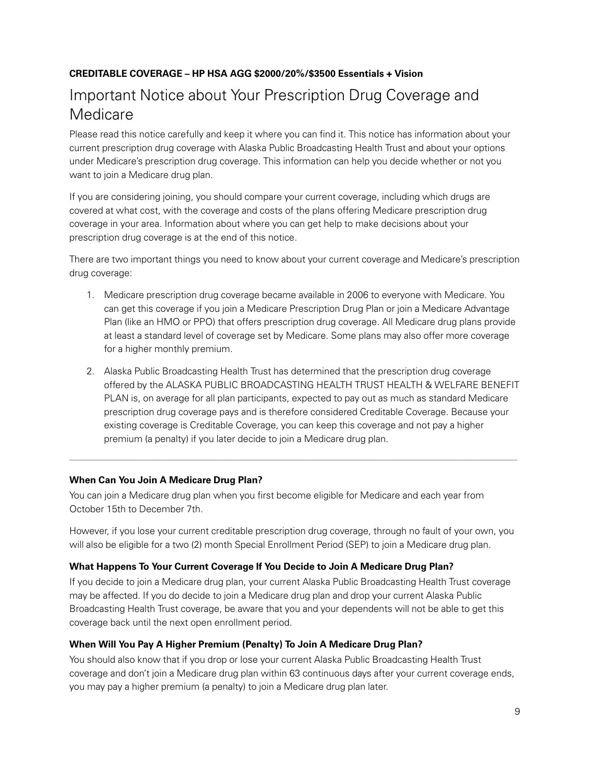### <span id="page-8-0"></span>**CREDITABLE COVERAGE – HP HSA AGG \$2000/20%/\$3500 Essentials + Vision**

# Important Notice about Your Prescription Drug Coverage and Medicare

Please read this notice carefully and keep it where you can find it. This notice has information about your current prescription drug coverage with Alaska Public Broadcasting Health Trust and about your options under Medicare's prescription drug coverage. This information can help you decide whether or not you want to join a Medicare drug plan.

If you are considering joining, you should compare your current coverage, including which drugs are covered at what cost, with the coverage and costs of the plans offering Medicare prescription drug coverage in your area. Information about where you can get help to make decisions about your prescription drug coverage is at the end of this notice.

There are two important things you need to know about your current coverage and Medicare's prescription drug coverage:

- 1. Medicare prescription drug coverage became available in 2006 to everyone with Medicare. You can get this coverage if you join a Medicare Prescription Drug Plan or join a Medicare Advantage Plan (like an HMO or PPO) that offers prescription drug coverage. All Medicare drug plans provide at least a standard level of coverage set by Medicare. Some plans may also offer more coverage for a higher monthly premium.
- 2. Alaska Public Broadcasting Health Trust has determined that the prescription drug coverage offered by the ALASKA PUBLIC BROADCASTING HEALTH TRUST HEALTH & WELFARE BENEFIT PLAN is, on average for all plan participants, expected to pay out as much as standard Medicare prescription drug coverage pays and is therefore considered Creditable Coverage. Because your existing coverage is Creditable Coverage, you can keep this coverage and not pay a higher premium (a penalty) if you later decide to join a Medicare drug plan.

### **When Can You Join A Medicare Drug Plan?**

You can join a Medicare drug plan when you first become eligible for Medicare and each year from October 15th to December 7th.

However, if you lose your current creditable prescription drug coverage, through no fault of your own, you will also be eligible for a two (2) month Special Enrollment Period (SEP) to join a Medicare drug plan.

—————————————————————————————————————————————————————————————————————————————————————————————

#### **What Happens To Your Current Coverage If You Decide to Join A Medicare Drug Plan?**

If you decide to join a Medicare drug plan, your current Alaska Public Broadcasting Health Trust coverage may be affected. If you do decide to join a Medicare drug plan and drop your current Alaska Public Broadcasting Health Trust coverage, be aware that you and your dependents will not be able to get this coverage back until the next open enrollment period.

### **When Will You Pay A Higher Premium (Penalty) To Join A Medicare Drug Plan?**

You should also know that if you drop or lose your current Alaska Public Broadcasting Health Trust coverage and don't join a Medicare drug plan within 63 continuous days after your current coverage ends, you may pay a higher premium (a penalty) to join a Medicare drug plan later.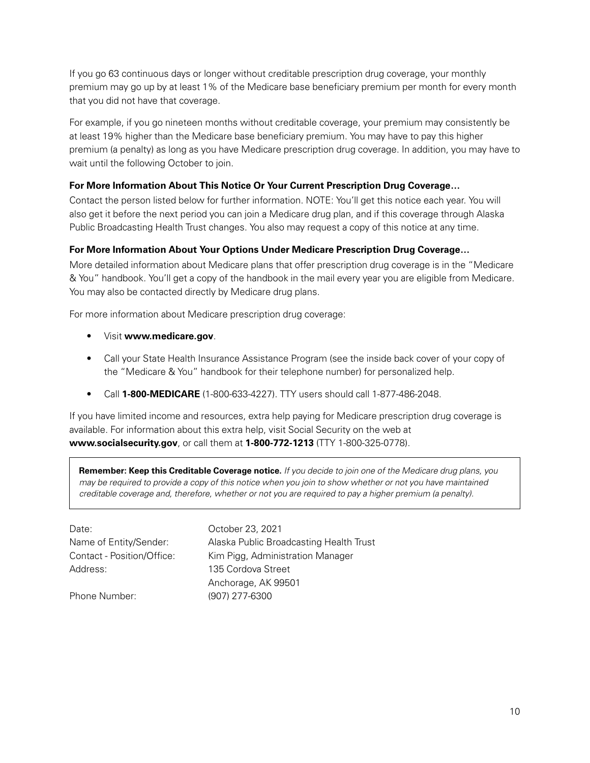If you go 63 continuous days or longer without creditable prescription drug coverage, your monthly premium may go up by at least 1% of the Medicare base beneficiary premium per month for every month that you did not have that coverage.

For example, if you go nineteen months without creditable coverage, your premium may consistently be at least 19% higher than the Medicare base beneficiary premium. You may have to pay this higher premium (a penalty) as long as you have Medicare prescription drug coverage. In addition, you may have to wait until the following October to join.

### **For More Information About This Notice Or Your Current Prescription Drug Coverage…**

Contact the person listed below for further information. NOTE: You'll get this notice each year. You will also get it before the next period you can join a Medicare drug plan, and if this coverage through Alaska Public Broadcasting Health Trust changes. You also may request a copy of this notice at any time.

#### **For More Information About Your Options Under Medicare Prescription Drug Coverage…**

More detailed information about Medicare plans that offer prescription drug coverage is in the "Medicare & You" handbook. You'll get a copy of the handbook in the mail every year you are eligible from Medicare. You may also be contacted directly by Medicare drug plans.

For more information about Medicare prescription drug coverage:

- Visit **www.medicare.gov**.
- Call your State Health Insurance Assistance Program (see the inside back cover of your copy of the "Medicare & You" handbook for their telephone number) for personalized help.
- Call **1-800-MEDICARE** (1-800-633-4227). TTY users should call 1-877-486-2048.

If you have limited income and resources, extra help paying for Medicare prescription drug coverage is available. For information about this extra help, visit Social Security on the web at **www.socialsecurity.gov**, or call them at **1-800-772-1213** (TTY 1-800-325-0778).

**Remember: Keep this Creditable Coverage notice.** If you decide to join one of the Medicare drug plans, you may be required to provide a copy of this notice when you join to show whether or not you have maintained creditable coverage and, therefore, whether or not you are required to pay a higher premium (a penalty).

Date: Commodate: Contract October 23, 2021 Address: 135 Cordova Street

Phone Number: (907) 277-6300

Name of Entity/Sender: Alaska Public Broadcasting Health Trust Contact - Position/Office: Kim Pigg, Administration Manager Anchorage, AK 99501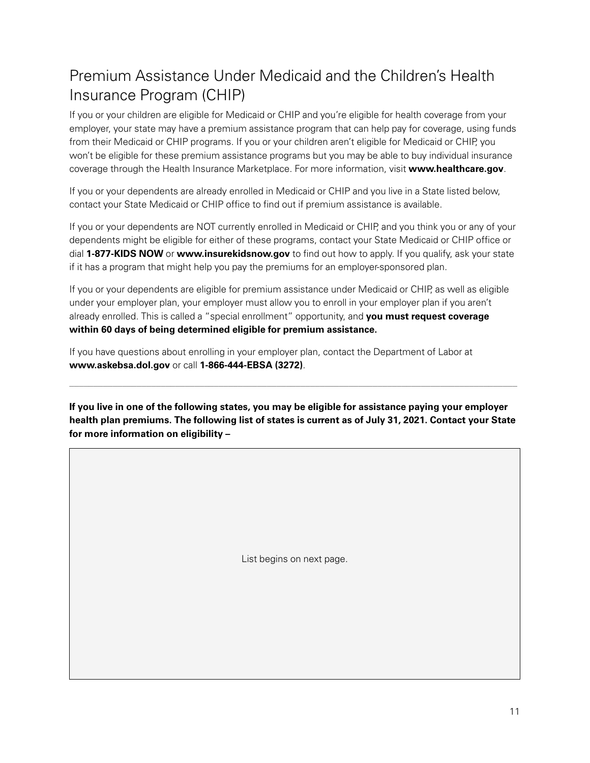# <span id="page-10-0"></span>Premium Assistance Under Medicaid and the Children's Health Insurance Program (CHIP)

If you or your children are eligible for Medicaid or CHIP and you're eligible for health coverage from your employer, your state may have a premium assistance program that can help pay for coverage, using funds from their Medicaid or CHIP programs. If you or your children aren't eligible for Medicaid or CHIP, you won't be eligible for these premium assistance programs but you may be able to buy individual insurance coverage through the Health Insurance Marketplace. For more information, visit **www.healthcare.gov**.

If you or your dependents are already enrolled in Medicaid or CHIP and you live in a State listed below, contact your State Medicaid or CHIP office to find out if premium assistance is available.

If you or your dependents are NOT currently enrolled in Medicaid or CHIP, and you think you or any of your dependents might be eligible for either of these programs, contact your State Medicaid or CHIP office or dial **1-877-KIDS NOW** or **www.insurekidsnow.gov** to find out how to apply. If you qualify, ask your state if it has a program that might help you pay the premiums for an employer-sponsored plan.

If you or your dependents are eligible for premium assistance under Medicaid or CHIP, as well as eligible under your employer plan, your employer must allow you to enroll in your employer plan if you aren't already enrolled. This is called a "special enrollment" opportunity, and **you must request coverage within 60 days of being determined eligible for premium assistance.**

If you have questions about enrolling in your employer plan, contact the Department of Labor at **www.askebsa.dol.gov** or call **1-866-444-EBSA (3272)**.

If you live in one of the following states, you may be eligible for assistance paying your employer health plan premiums. The following list of states is current as of July 31, 2021. Contact your State **for more information on eligibility –**

—————————————————————————————————————————————————————————————————————————————————————————————

List begins on next page.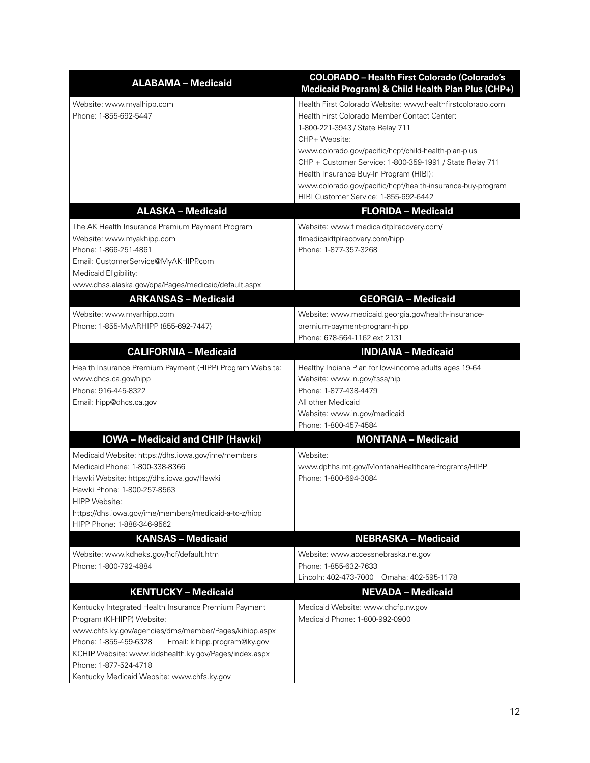| <b>ALABAMA - Medicaid</b>                                                                                                                                                                                                                                                                                                            | <b>COLORADO - Health First Colorado (Colorado's</b><br>Medicaid Program) & Child Health Plan Plus (CHP+)                                                                                                                                                                                                                                                                                                                              |
|--------------------------------------------------------------------------------------------------------------------------------------------------------------------------------------------------------------------------------------------------------------------------------------------------------------------------------------|---------------------------------------------------------------------------------------------------------------------------------------------------------------------------------------------------------------------------------------------------------------------------------------------------------------------------------------------------------------------------------------------------------------------------------------|
| Website: www.myalhipp.com<br>Phone: 1-855-692-5447                                                                                                                                                                                                                                                                                   | Health First Colorado Website: www.healthfirstcolorado.com<br>Health First Colorado Member Contact Center:<br>1-800-221-3943 / State Relay 711<br>CHP+ Website:<br>www.colorado.gov/pacific/hcpf/child-health-plan-plus<br>CHP + Customer Service: 1-800-359-1991 / State Relay 711<br>Health Insurance Buy-In Program (HIBI):<br>www.colorado.gov/pacific/hcpf/health-insurance-buy-program<br>HIBI Customer Service: 1-855-692-6442 |
| <b>ALASKA - Medicaid</b>                                                                                                                                                                                                                                                                                                             | <b>FLORIDA - Medicaid</b>                                                                                                                                                                                                                                                                                                                                                                                                             |
| The AK Health Insurance Premium Payment Program<br>Website: www.myakhipp.com<br>Phone: 1-866-251-4861<br>Email: CustomerService@MyAKHIPP.com<br>Medicaid Eligibility:<br>www.dhss.alaska.gov/dpa/Pages/medicaid/default.aspx                                                                                                         | Website: www.flmedicaidtplrecovery.com/<br>flmedicaidtplrecovery.com/hipp<br>Phone: 1-877-357-3268                                                                                                                                                                                                                                                                                                                                    |
| <b>ARKANSAS - Medicaid</b>                                                                                                                                                                                                                                                                                                           | <b>GEORGIA - Medicaid</b>                                                                                                                                                                                                                                                                                                                                                                                                             |
| Website: www.myarhipp.com<br>Phone: 1-855-MyARHIPP (855-692-7447)                                                                                                                                                                                                                                                                    | Website: www.medicaid.georgia.gov/health-insurance-<br>premium-payment-program-hipp<br>Phone: 678-564-1162 ext 2131                                                                                                                                                                                                                                                                                                                   |
| <b>CALIFORNIA - Medicaid</b>                                                                                                                                                                                                                                                                                                         | <b>INDIANA - Medicaid</b>                                                                                                                                                                                                                                                                                                                                                                                                             |
| Health Insurance Premium Payment (HIPP) Program Website:<br>www.dhcs.ca.gov/hipp<br>Phone: 916-445-8322<br>Email: hipp@dhcs.ca.gov                                                                                                                                                                                                   | Healthy Indiana Plan for low-income adults ages 19-64<br>Website: www.in.gov/fssa/hip<br>Phone: 1-877-438-4479<br>All other Medicaid<br>Website: www.in.gov/medicaid<br>Phone: 1-800-457-4584                                                                                                                                                                                                                                         |
| <b>IOWA - Medicaid and CHIP (Hawki)</b>                                                                                                                                                                                                                                                                                              | <b>MONTANA - Medicaid</b>                                                                                                                                                                                                                                                                                                                                                                                                             |
| Medicaid Website: https://dhs.iowa.gov/ime/members<br>Medicaid Phone: 1-800-338-8366<br>Hawki Website: https://dhs.iowa.gov/Hawki<br>Hawki Phone: 1-800-257-8563<br>HIPP Website:<br>https://dhs.iowa.gov/ime/members/medicaid-a-to-z/hipp<br>HIPP Phone: 1-888-346-9562                                                             | Website:<br>www.dphhs.mt.gov/MontanaHealthcarePrograms/HIPP<br>Phone: 1-800-694-3084                                                                                                                                                                                                                                                                                                                                                  |
| <b>KANSAS - Medicaid</b>                                                                                                                                                                                                                                                                                                             | <b>NEBRASKA - Medicaid</b>                                                                                                                                                                                                                                                                                                                                                                                                            |
| Website: www.kdheks.gov/hcf/default.htm<br>Phone: 1-800-792-4884                                                                                                                                                                                                                                                                     | Website: www.accessnebraska.ne.gov<br>Phone: 1-855-632-7633<br>Lincoln: 402-473-7000 Omaha: 402-595-1178                                                                                                                                                                                                                                                                                                                              |
| <b>KENTUCKY - Medicaid</b>                                                                                                                                                                                                                                                                                                           | <b>NEVADA - Medicaid</b>                                                                                                                                                                                                                                                                                                                                                                                                              |
| Kentucky Integrated Health Insurance Premium Payment<br>Program (KI-HIPP) Website:<br>www.chfs.ky.gov/agencies/dms/member/Pages/kihipp.aspx<br>Phone: 1-855-459-6328<br>Email: kihipp.program@ky.gov<br>KCHIP Website: www.kidshealth.ky.gov/Pages/index.aspx<br>Phone: 1-877-524-4718<br>Kentucky Medicaid Website: www.chfs.ky.gov | Medicaid Website: www.dhcfp.nv.gov<br>Medicaid Phone: 1-800-992-0900                                                                                                                                                                                                                                                                                                                                                                  |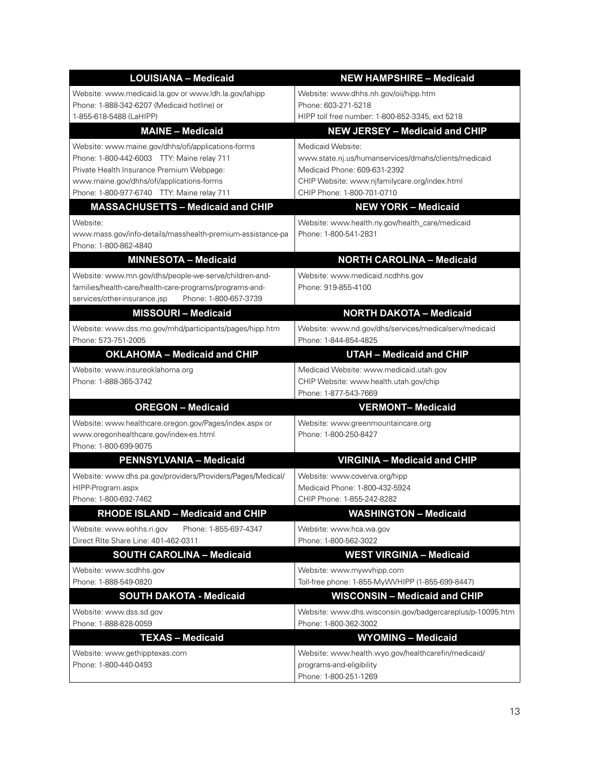| <b>LOUISIANA - Medicaid</b>                                                                      | <b>NEW HAMPSHIRE - Medicaid</b>                                               |
|--------------------------------------------------------------------------------------------------|-------------------------------------------------------------------------------|
| Website: www.medicaid.la.gov or www.ldh.la.gov/lahipp                                            | Website: www.dhhs.nh.gov/oii/hipp.htm                                         |
| Phone: 1-888-342-6207 (Medicaid hotline) or                                                      | Phone: 603-271-5218                                                           |
| 1-855-618-5488 (LaHIPP)                                                                          | HIPP toll free number: 1-800-852-3345, ext 5218                               |
| <b>MAINE - Medicaid</b>                                                                          | <b>NEW JERSEY - Medicaid and CHIP</b>                                         |
| Website: www.maine.gov/dhhs/ofi/applications-forms                                               | Medicaid Website:                                                             |
| Phone: 1-800-442-6003 TTY: Maine relay 711                                                       | www.state.nj.us/humanservices/dmahs/clients/medicaid                          |
| Private Health Insurance Premium Webpage:<br>www.maine.gov/dhhs/ofi/applications-forms           | Medicaid Phone: 609-631-2392<br>CHIP Website: www.njfamilycare.org/index.html |
| Phone: 1-800-977-6740 TTY: Maine relay 711                                                       | CHIP Phone: 1-800-701-0710                                                    |
| <b>MASSACHUSETTS - Medicaid and CHIP</b>                                                         | <b>NEW YORK - Medicaid</b>                                                    |
| Website:                                                                                         | Website: www.health.ny.gov/health_care/medicaid                               |
| www.mass.gov/info-details/masshealth-premium-assistance-pa                                       | Phone: 1-800-541-2831                                                         |
| Phone: 1-800-862-4840                                                                            |                                                                               |
| <b>MINNESOTA - Medicaid</b>                                                                      | <b>NORTH CAROLINA - Medicaid</b>                                              |
| Website: www.mn.gov/dhs/people-we-serve/children-and-                                            | Website: www.medicaid.ncdhhs.gov                                              |
| families/health-care/health-care-programs/programs-and-                                          | Phone: 919-855-4100                                                           |
| services/other-insurance.jsp<br>Phone: 1-800-657-3739                                            |                                                                               |
| <b>MISSOURI-Medicaid</b>                                                                         | <b>NORTH DAKOTA - Medicaid</b>                                                |
| Website: www.dss.mo.gov/mhd/participants/pages/hipp.htm                                          | Website: www.nd.gov/dhs/services/medicalserv/medicaid                         |
| Phone: 573-751-2005                                                                              | Phone: 1-844-854-4825                                                         |
| <b>OKLAHOMA - Medicaid and CHIP</b>                                                              | <b>UTAH - Medicaid and CHIP</b>                                               |
| Website: www.insureoklahoma.org                                                                  | Medicaid Website: www.medicaid.utah.gov                                       |
| Phone: 1-888-365-3742                                                                            | CHIP Website: www.health.utah.gov/chip<br>Phone: 1-877-543-7669               |
| <b>OREGON - Medicaid</b>                                                                         | <b>VERMONT-Medicaid</b>                                                       |
|                                                                                                  |                                                                               |
| Website: www.healthcare.oregon.gov/Pages/index.aspx or<br>www.oregonhealthcare.gov/index-es.html | Website: www.greenmountaincare.org<br>Phone: 1-800-250-8427                   |
| Phone: 1-800-699-9075                                                                            |                                                                               |
| <b>PENNSYLVANIA - Medicaid</b>                                                                   | <b>VIRGINIA - Medicaid and CHIP</b>                                           |
| Website: www.dhs.pa.gov/providers/Providers/Pages/Medical/                                       | Website: www.coverva.org/hipp                                                 |
| HIPP-Program.aspx                                                                                | Medicaid Phone: 1-800-432-5924                                                |
| Phone: 1-800-692-7462                                                                            | CHIP Phone: 1-855-242-8282                                                    |
| <b>RHODE ISLAND - Medicaid and CHIP</b>                                                          | <b>WASHINGTON - Medicaid</b>                                                  |
| Phone: 1-855-697-4347<br>Website: www.eohhs.ri.gov                                               | Website: www.hca.wa.gov                                                       |
| Direct RIte Share Line: 401-462-0311                                                             | Phone: 1-800-562-3022                                                         |
| <b>SOUTH CAROLINA - Medicaid</b>                                                                 | <b>WEST VIRGINIA - Medicaid</b>                                               |
| Website: www.scdhhs.gov                                                                          | Website: www.mywvhipp.com                                                     |
| Phone: 1-888-549-0820                                                                            | Toll-free phone: 1-855-MyWVHIPP (1-855-699-8447)                              |
| <b>SOUTH DAKOTA - Medicaid</b>                                                                   | <b>WISCONSIN - Medicaid and CHIP</b>                                          |
| Website: www.dss.sd.gov                                                                          | Website: www.dhs.wisconsin.gov/badgercareplus/p-10095.htm                     |
| Phone: 1-888-828-0059                                                                            | Phone: 1-800-362-3002                                                         |
| <b>TEXAS - Medicaid</b>                                                                          | <b>WYOMING - Medicaid</b>                                                     |
| Website: www.gethipptexas.com                                                                    | Website: www.health.wyo.gov/healthcarefin/medicaid/                           |
| Phone: 1-800-440-0493                                                                            | programs-and-eligibility<br>Phone: 1-800-251-1269                             |
|                                                                                                  |                                                                               |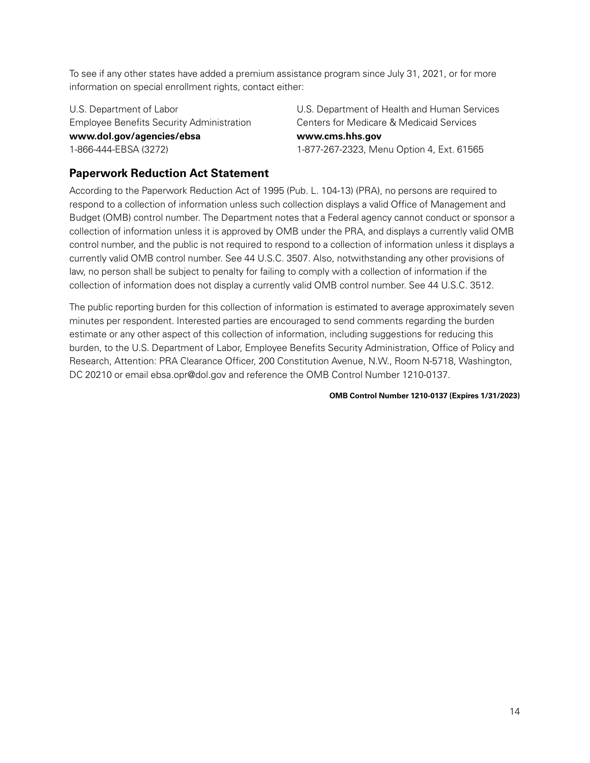To see if any other states have added a premium assistance program since July 31, 2021, or for more information on special enrollment rights, contact either:

Employee Benefits Security Administration Centers for Medicare & Medicaid Services **www.dol.gov/agencies/ebsa www.cms.hhs.gov**

U.S. Department of Labor U.S. Department of Health and Human Services 1-866-444-EBSA (3272) 1-877-267-2323, Menu Option 4, Ext. 61565

### **Paperwork Reduction Act Statement**

According to the Paperwork Reduction Act of 1995 (Pub. L. 104-13) (PRA), no persons are required to respond to a collection of information unless such collection displays a valid Office of Management and Budget (OMB) control number. The Department notes that a Federal agency cannot conduct or sponsor a collection of information unless it is approved by OMB under the PRA, and displays a currently valid OMB control number, and the public is not required to respond to a collection of information unless it displays a currently valid OMB control number. See 44 U.S.C. 3507. Also, notwithstanding any other provisions of law, no person shall be subject to penalty for failing to comply with a collection of information if the collection of information does not display a currently valid OMB control number. See 44 U.S.C. 3512.

The public reporting burden for this collection of information is estimated to average approximately seven minutes per respondent. Interested parties are encouraged to send comments regarding the burden estimate or any other aspect of this collection of information, including suggestions for reducing this burden, to the U.S. Department of Labor, Employee Benefits Security Administration, Office of Policy and Research, Attention: PRA Clearance Officer, 200 Constitution Avenue, N.W., Room N-5718, Washington, DC 20210 or email ebsa.opr@dol.gov and reference the OMB Control Number 1210-0137.

**OMB Control Number 1210-0137 (Expires 1/31/2023)**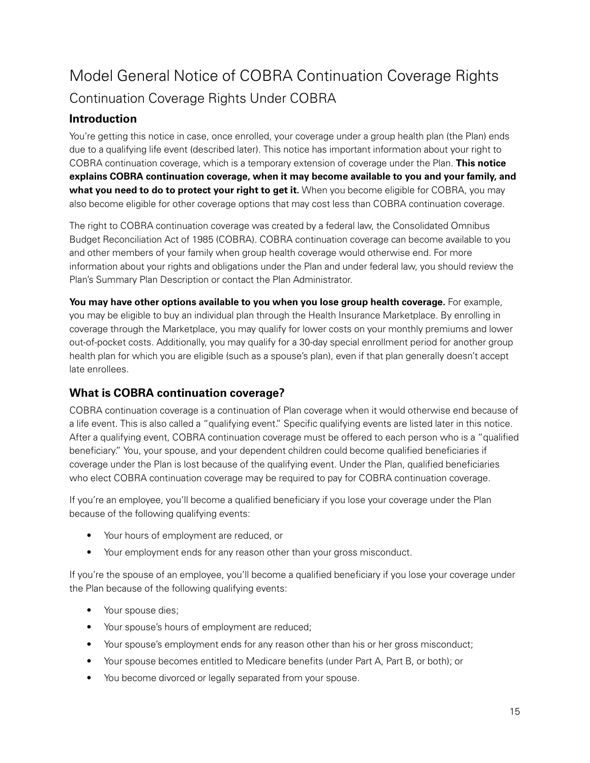# <span id="page-14-0"></span>Model General Notice of COBRA Continuation Coverage Rights Continuation Coverage Rights Under COBRA

# **Introduction**

You're getting this notice in case, once enrolled, your coverage under a group health plan (the Plan) ends due to a qualifying life event (described later). This notice has important information about your right to COBRA continuation coverage, which is a temporary extension of coverage under the Plan. **This notice explains COBRA continuation coverage, when it may become available to you and your family, and what you need to do to protect your right to get it.** When you become eligible for COBRA, you may also become eligible for other coverage options that may cost less than COBRA continuation coverage.

The right to COBRA continuation coverage was created by a federal law, the Consolidated Omnibus Budget Reconciliation Act of 1985 (COBRA). COBRA continuation coverage can become available to you and other members of your family when group health coverage would otherwise end. For more information about your rights and obligations under the Plan and under federal law, you should review the Plan's Summary Plan Description or contact the Plan Administrator.

**You may have other options available to you when you lose group health coverage.** For example, you may be eligible to buy an individual plan through the Health Insurance Marketplace. By enrolling in coverage through the Marketplace, you may qualify for lower costs on your monthly premiums and lower out-of-pocket costs. Additionally, you may qualify for a 30-day special enrollment period for another group health plan for which you are eligible (such as a spouse's plan), even if that plan generally doesn't accept late enrollees.

## **What is COBRA continuation coverage?**

COBRA continuation coverage is a continuation of Plan coverage when it would otherwise end because of a life event. This is also called a "qualifying event." Specific qualifying events are listed later in this notice. After a qualifying event, COBRA continuation coverage must be offered to each person who is a "qualified beneficiary." You, your spouse, and your dependent children could become qualified beneficiaries if coverage under the Plan is lost because of the qualifying event. Under the Plan, qualified beneficiaries who elect COBRA continuation coverage may be required to pay for COBRA continuation coverage.

If you're an employee, you'll become a qualified beneficiary if you lose your coverage under the Plan because of the following qualifying events:

- Your hours of employment are reduced, or
- Your employment ends for any reason other than your gross misconduct.

If you're the spouse of an employee, you'll become a qualified beneficiary if you lose your coverage under the Plan because of the following qualifying events:

- Your spouse dies;
- Your spouse's hours of employment are reduced;
- Your spouse's employment ends for any reason other than his or her gross misconduct;
- Your spouse becomes entitled to Medicare benefits (under Part A, Part B, or both); or
- You become divorced or legally separated from your spouse.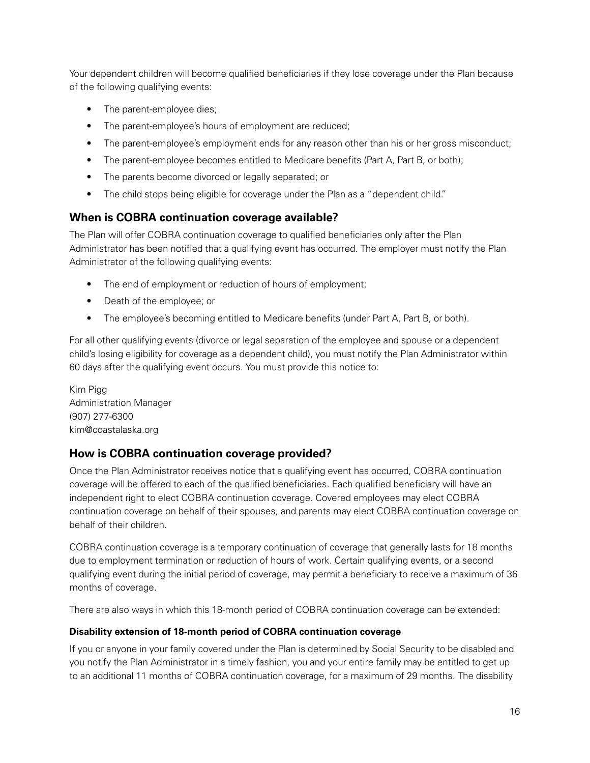Your dependent children will become qualified beneficiaries if they lose coverage under the Plan because of the following qualifying events:

- The parent-employee dies;
- The parent-employee's hours of employment are reduced;
- The parent-employee's employment ends for any reason other than his or her gross misconduct;
- The parent-employee becomes entitled to Medicare benefits (Part A, Part B, or both);
- The parents become divorced or legally separated; or
- The child stops being eligible for coverage under the Plan as a "dependent child."

### **When is COBRA continuation coverage available?**

The Plan will offer COBRA continuation coverage to qualified beneficiaries only after the Plan Administrator has been notified that a qualifying event has occurred. The employer must notify the Plan Administrator of the following qualifying events:

- The end of employment or reduction of hours of employment;
- Death of the employee; or
- The employee's becoming entitled to Medicare benefits (under Part A, Part B, or both).

For all other qualifying events (divorce or legal separation of the employee and spouse or a dependent child's losing eligibility for coverage as a dependent child), you must notify the Plan Administrator within 60 days after the qualifying event occurs. You must provide this notice to:

Kim Pigg Administration Manager (907) 277-6300 kim@coastalaska.org

### **How is COBRA continuation coverage provided?**

Once the Plan Administrator receives notice that a qualifying event has occurred, COBRA continuation coverage will be offered to each of the qualified beneficiaries. Each qualified beneficiary will have an independent right to elect COBRA continuation coverage. Covered employees may elect COBRA continuation coverage on behalf of their spouses, and parents may elect COBRA continuation coverage on behalf of their children.

COBRA continuation coverage is a temporary continuation of coverage that generally lasts for 18 months due to employment termination or reduction of hours of work. Certain qualifying events, or a second qualifying event during the initial period of coverage, may permit a beneficiary to receive a maximum of 36 months of coverage.

There are also ways in which this 18-month period of COBRA continuation coverage can be extended:

#### **Disability extension of 18-month period of COBRA continuation coverage**

If you or anyone in your family covered under the Plan is determined by Social Security to be disabled and you notify the Plan Administrator in a timely fashion, you and your entire family may be entitled to get up to an additional 11 months of COBRA continuation coverage, for a maximum of 29 months. The disability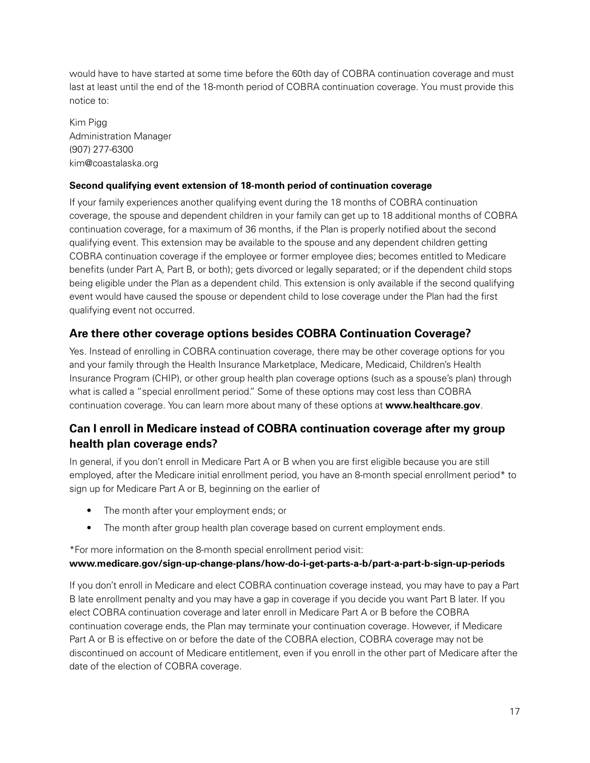would have to have started at some time before the 60th day of COBRA continuation coverage and must last at least until the end of the 18-month period of COBRA continuation coverage. You must provide this notice to:

Kim Pigg Administration Manager (907) 277-6300 kim@coastalaska.org

### **Second qualifying event extension of 18-month period of continuation coverage**

If your family experiences another qualifying event during the 18 months of COBRA continuation coverage, the spouse and dependent children in your family can get up to 18 additional months of COBRA continuation coverage, for a maximum of 36 months, if the Plan is properly notified about the second qualifying event. This extension may be available to the spouse and any dependent children getting COBRA continuation coverage if the employee or former employee dies; becomes entitled to Medicare benefits (under Part A, Part B, or both); gets divorced or legally separated; or if the dependent child stops being eligible under the Plan as a dependent child. This extension is only available if the second qualifying event would have caused the spouse or dependent child to lose coverage under the Plan had the first qualifying event not occurred.

### **Are there other coverage options besides COBRA Continuation Coverage?**

Yes. Instead of enrolling in COBRA continuation coverage, there may be other coverage options for you and your family through the Health Insurance Marketplace, Medicare, Medicaid, Children's Health Insurance Program (CHIP), or other group health plan coverage options (such as a spouse's plan) through what is called a "special enrollment period." Some of these options may cost less than COBRA continuation coverage. You can learn more about many of these options at **www.healthcare.gov**.

## **Can I enroll in Medicare instead of COBRA continuation coverage after my group health plan coverage ends?**

In general, if you don't enroll in Medicare Part A or B when you are first eligible because you are still employed, after the Medicare initial enrollment period, you have an 8-month special enrollment period\* to sign up for Medicare Part A or B, beginning on the earlier of

- The month after your employment ends; or
- The month after group health plan coverage based on current employment ends.

### \*For more information on the 8-month special enrollment period visit: **www.medicare.gov/sign-up-change-plans/how-do-i-get-parts-a-b/part-a-part-b-sign-up-periods**

If you don't enroll in Medicare and elect COBRA continuation coverage instead, you may have to pay a Part B late enrollment penalty and you may have a gap in coverage if you decide you want Part B later. If you elect COBRA continuation coverage and later enroll in Medicare Part A or B before the COBRA continuation coverage ends, the Plan may terminate your continuation coverage. However, if Medicare Part A or B is effective on or before the date of the COBRA election, COBRA coverage may not be discontinued on account of Medicare entitlement, even if you enroll in the other part of Medicare after the date of the election of COBRA coverage.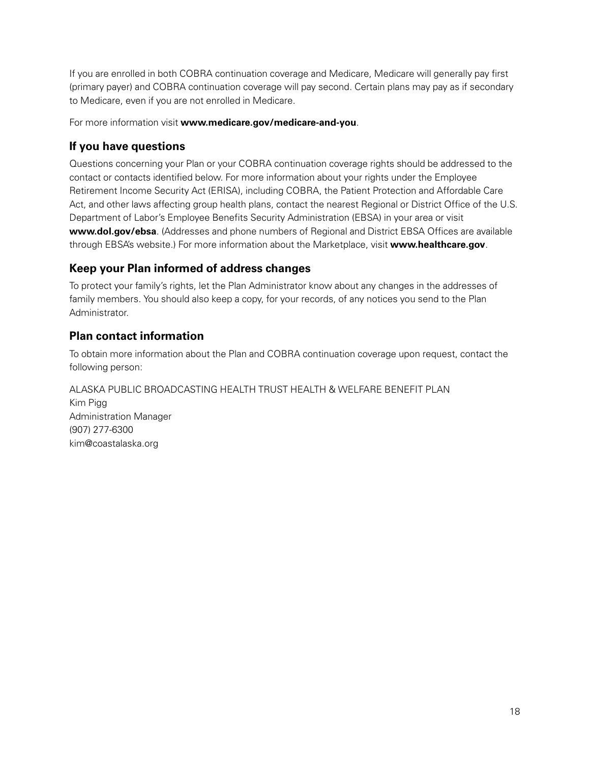If you are enrolled in both COBRA continuation coverage and Medicare, Medicare will generally pay first (primary payer) and COBRA continuation coverage will pay second. Certain plans may pay as if secondary to Medicare, even if you are not enrolled in Medicare.

For more information visit **www.medicare.gov/medicare-and-you**.

# **If you have questions**

Questions concerning your Plan or your COBRA continuation coverage rights should be addressed to the contact or contacts identified below. For more information about your rights under the Employee Retirement Income Security Act (ERISA), including COBRA, the Patient Protection and Affordable Care Act, and other laws affecting group health plans, contact the nearest Regional or District Office of the U.S. Department of Labor's Employee Benefits Security Administration (EBSA) in your area or visit **www.dol.gov/ebsa**. (Addresses and phone numbers of Regional and District EBSA Offices are available through EBSA's website.) For more information about the Marketplace, visit **www.healthcare.gov**.

## **Keep your Plan informed of address changes**

To protect your family's rights, let the Plan Administrator know about any changes in the addresses of family members. You should also keep a copy, for your records, of any notices you send to the Plan Administrator.

## **Plan contact information**

To obtain more information about the Plan and COBRA continuation coverage upon request, contact the following person:

ALASKA PUBLIC BROADCASTING HEALTH TRUST HEALTH & WELFARE BENEFIT PLAN Kim Pigg Administration Manager (907) 277-6300 kim@coastalaska.org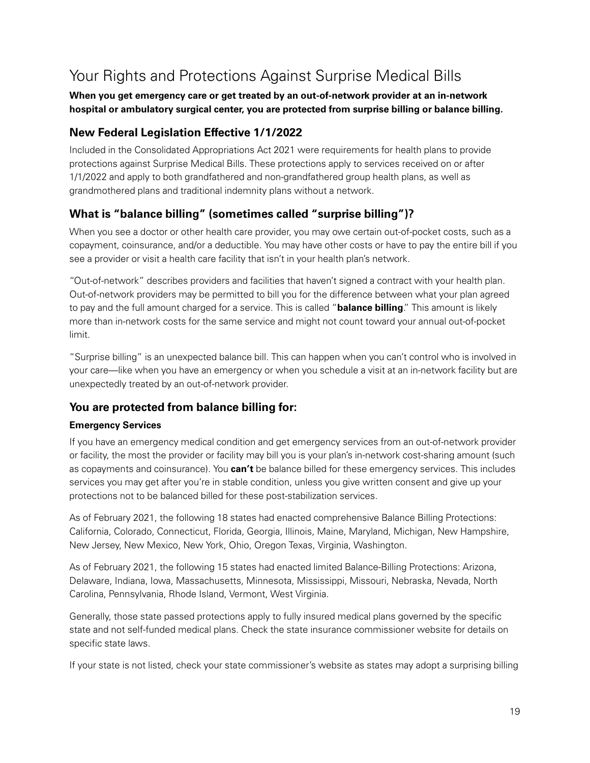# <span id="page-18-0"></span>Your Rights and Protections Against Surprise Medical Bills

### **When you get emergency care or get treated by an out-of-network provider at an in-network hospital or ambulatory surgical center, you are protected from surprise billing or balance billing.**

### **New Federal Legislation Effective 1/1/2022**

Included in the Consolidated Appropriations Act 2021 were requirements for health plans to provide protections against Surprise Medical Bills. These protections apply to services received on or after 1/1/2022 and apply to both grandfathered and non-grandfathered group health plans, as well as grandmothered plans and traditional indemnity plans without a network.

## **What is "balance billing" (sometimes called "surprise billing")?**

When you see a doctor or other health care provider, you may owe certain out-of-pocket costs, such as a copayment, coinsurance, and/or a deductible. You may have other costs or have to pay the entire bill if you see a provider or visit a health care facility that isn't in your health plan's network.

"Out-of-network" describes providers and facilities that haven't signed a contract with your health plan. Out-of-network providers may be permitted to bill you for the difference between what your plan agreed to pay and the full amount charged for a service. This is called "**balance billing**." This amount is likely more than in-network costs for the same service and might not count toward your annual out-of-pocket limit.

"Surprise billing" is an unexpected balance bill. This can happen when you can't control who is involved in your care—like when you have an emergency or when you schedule a visit at an in-network facility but are unexpectedly treated by an out-of-network provider.

## **You are protected from balance billing for:**

### **Emergency Services**

If you have an emergency medical condition and get emergency services from an out-of-network provider or facility, the most the provider or facility may bill you is your plan's in-network cost-sharing amount (such as copayments and coinsurance). You **can't** be balance billed for these emergency services. This includes services you may get after you're in stable condition, unless you give written consent and give up your protections not to be balanced billed for these post-stabilization services.

As of February 2021, the following 18 states had enacted comprehensive Balance Billing Protections: California, Colorado, Connecticut, Florida, Georgia, Illinois, Maine, Maryland, Michigan, New Hampshire, New Jersey, New Mexico, New York, Ohio, Oregon Texas, Virginia, Washington.

As of February 2021, the following 15 states had enacted limited Balance-Billing Protections: Arizona, Delaware, Indiana, Iowa, Massachusetts, Minnesota, Mississippi, Missouri, Nebraska, Nevada, North Carolina, Pennsylvania, Rhode Island, Vermont, West Virginia.

Generally, those state passed protections apply to fully insured medical plans governed by the specific state and not self-funded medical plans. Check the state insurance commissioner website for details on specific state laws.

If your state is not listed, check your state commissioner's website as states may adopt a surprising billing